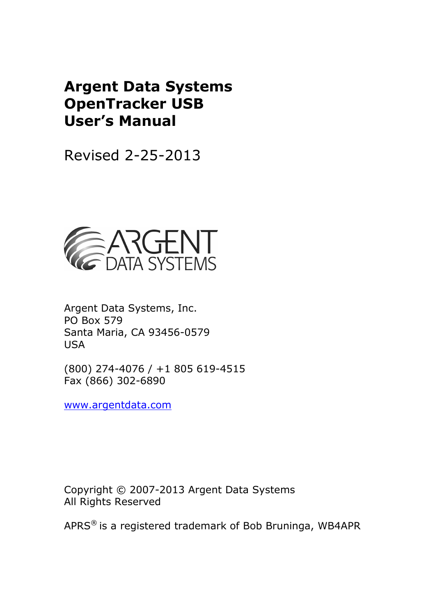# **Argent Data Systems OpenTracker USB User's Manual**

Revised 2-25-2013



Argent Data Systems, Inc. PO Box 579 Santa Maria, CA 93456-0579 USA

(800) 274-4076 / +1 805 619-4515 Fax (866) 302-6890

www.argentdata.com

Copyright © 2007-2013 Argent Data Systems All Rights Reserved

APRS® is a registered trademark of Bob Bruninga, WB4APR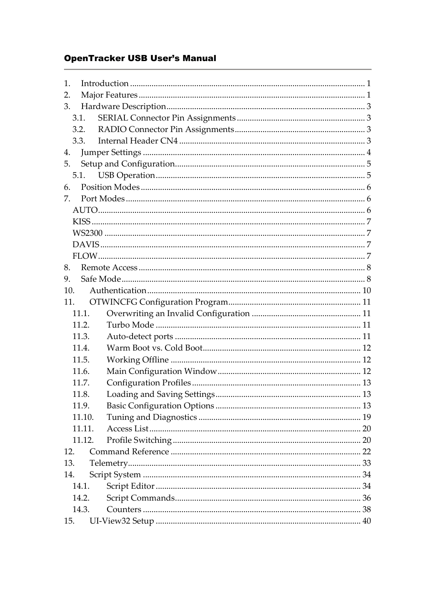# **OpenTracker USB User's Manual**

| 1.    |        |  |
|-------|--------|--|
| 2.    |        |  |
| 3.    |        |  |
| 3.1.  |        |  |
| 3.2.  |        |  |
|       | 3.3.   |  |
| 4.    |        |  |
| 5.    |        |  |
|       | 5.1.   |  |
| 6.    |        |  |
| 7.    |        |  |
|       |        |  |
|       |        |  |
|       |        |  |
|       |        |  |
|       |        |  |
| 8.    |        |  |
| 9.    |        |  |
| 10.   |        |  |
| 11.   |        |  |
|       | 11.1.  |  |
| 11.2. |        |  |
| 11.3. |        |  |
| 11.4. |        |  |
| 11.5. |        |  |
| 11.6. |        |  |
| 11.7. |        |  |
| 11.8. |        |  |
| 11.9. |        |  |
|       | 11.10. |  |
|       | 11.11. |  |
|       | 11.12. |  |
| 12.   |        |  |
| 13.   |        |  |
| 14.   |        |  |
| 14.1. |        |  |
| 14.2. |        |  |
| 14.3. |        |  |
| 15.   |        |  |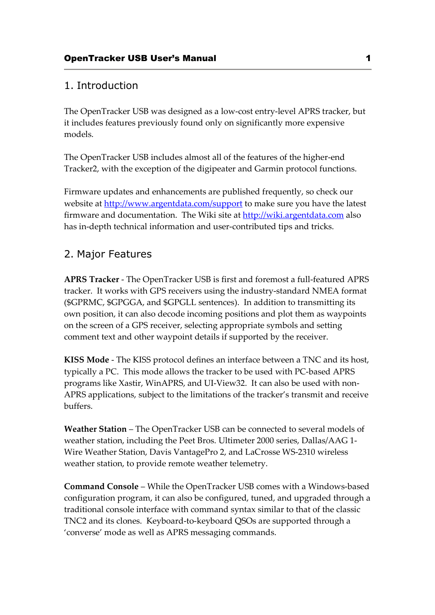# 1. Introduction

The OpenTracker USB was designed as a low-cost entry-level APRS tracker, but it includes features previously found only on significantly more expensive models.

The OpenTracker USB includes almost all of the features of the higher-end Tracker2, with the exception of the digipeater and Garmin protocol functions.

Firmware updates and enhancements are published frequently, so check our website at http://www.argentdata.com/support to make sure you have the latest firmware and documentation. The Wiki site at http://wiki.argentdata.com also has in-depth technical information and user-contributed tips and tricks.

# 2. Major Features

**APRS Tracker** - The OpenTracker USB is first and foremost a full-featured APRS tracker. It works with GPS receivers using the industry-standard NMEA format (\$GPRMC, \$GPGGA, and \$GPGLL sentences). In addition to transmitting its own position, it can also decode incoming positions and plot them as waypoints on the screen of a GPS receiver, selecting appropriate symbols and setting comment text and other waypoint details if supported by the receiver.

**KISS Mode** - The KISS protocol defines an interface between a TNC and its host, typically a PC. This mode allows the tracker to be used with PC-based APRS programs like Xastir, WinAPRS, and UI-View32. It can also be used with non-APRS applications, subject to the limitations of the tracker's transmit and receive buffers.

**Weather Station** – The OpenTracker USB can be connected to several models of weather station, including the Peet Bros. Ultimeter 2000 series, Dallas/AAG 1- Wire Weather Station, Davis VantagePro 2, and LaCrosse WS-2310 wireless weather station, to provide remote weather telemetry.

**Command Console** – While the OpenTracker USB comes with a Windows-based configuration program, it can also be configured, tuned, and upgraded through a traditional console interface with command syntax similar to that of the classic TNC2 and its clones. Keyboard-to-keyboard QSOs are supported through a 'converse' mode as well as APRS messaging commands.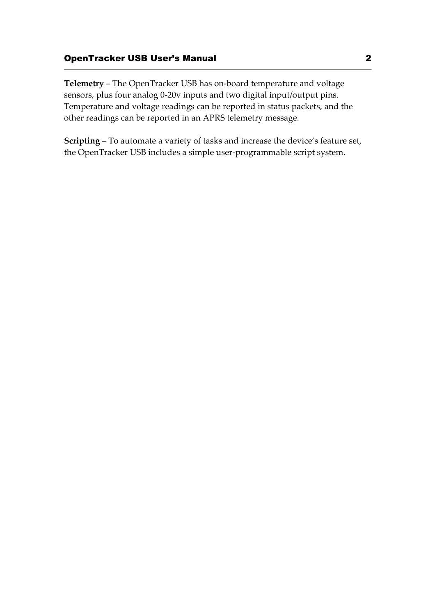# OpenTracker USB User's Manual 2

**Telemetry** – The OpenTracker USB has on-board temperature and voltage sensors, plus four analog 0-20v inputs and two digital input/output pins. Temperature and voltage readings can be reported in status packets, and the other readings can be reported in an APRS telemetry message.

**Scripting** – To automate a variety of tasks and increase the device's feature set, the OpenTracker USB includes a simple user-programmable script system.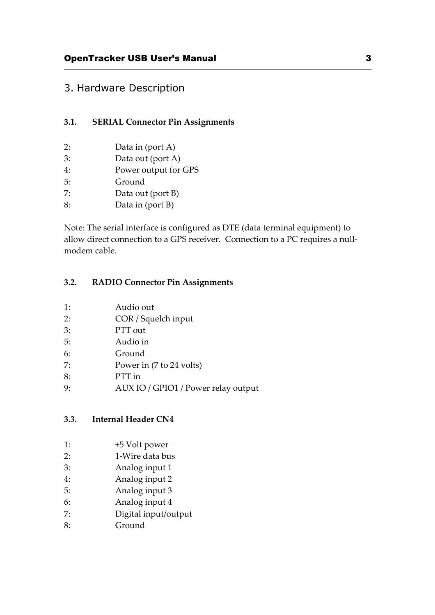# 3. Hardware Description

# **3.1. SERIAL Connector Pin Assignments**

- 2: Data in (port A)
- 3: Data out (port A)
- 4: Power output for GPS
- 5: Ground
- 7: Data out (port B)
- 8: Data in (port B)

Note: The serial interface is configured as DTE (data terminal equipment) to allow direct connection to a GPS receiver. Connection to a PC requires a nullmodem cable.

# **3.2. RADIO Connector Pin Assignments**

- 1: Audio out
- 2: COR / Squelch input
- 3: PTT out
- 5: Audio in
- 6: Ground
- 7: Power in (7 to 24 volts)
- 8: PTT in
- 9: AUX IO / GPIO1 / Power relay output

# **3.3. Internal Header CN4**

- 1: +5 Volt power
- 2: 1-Wire data bus
- 3: Analog input 1
- 4: Analog input 2
- 5: Analog input 3
- 6: Analog input 4
- 7: Digital input/output
- 8: Ground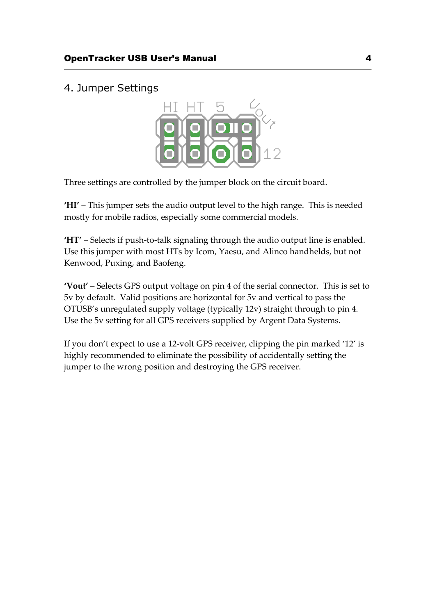# 4. Jumper Settings



Three settings are controlled by the jumper block on the circuit board.

**'HI'** – This jumper sets the audio output level to the high range. This is needed mostly for mobile radios, especially some commercial models.

**'HT'** – Selects if push-to-talk signaling through the audio output line is enabled. Use this jumper with most HTs by Icom, Yaesu, and Alinco handhelds, but not Kenwood, Puxing, and Baofeng.

**'Vout'** – Selects GPS output voltage on pin 4 of the serial connector. This is set to 5v by default. Valid positions are horizontal for 5v and vertical to pass the OTUSB's unregulated supply voltage (typically 12v) straight through to pin 4. Use the 5v setting for all GPS receivers supplied by Argent Data Systems.

If you don't expect to use a 12-volt GPS receiver, clipping the pin marked '12' is highly recommended to eliminate the possibility of accidentally setting the jumper to the wrong position and destroying the GPS receiver.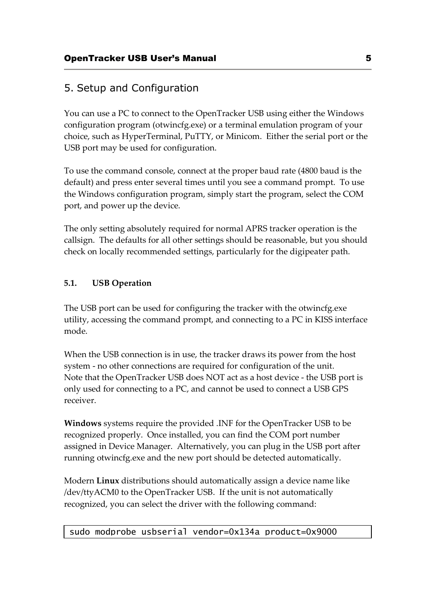# 5. Setup and Configuration

You can use a PC to connect to the OpenTracker USB using either the Windows configuration program (otwincfg.exe) or a terminal emulation program of your choice, such as HyperTerminal, PuTTY, or Minicom. Either the serial port or the USB port may be used for configuration.

To use the command console, connect at the proper baud rate (4800 baud is the default) and press enter several times until you see a command prompt. To use the Windows configuration program, simply start the program, select the COM port, and power up the device.

The only setting absolutely required for normal APRS tracker operation is the callsign. The defaults for all other settings should be reasonable, but you should check on locally recommended settings, particularly for the digipeater path.

# **5.1. USB Operation**

The USB port can be used for configuring the tracker with the otwincfg.exe utility, accessing the command prompt, and connecting to a PC in KISS interface mode.

When the USB connection is in use, the tracker draws its power from the host system - no other connections are required for configuration of the unit. Note that the OpenTracker USB does NOT act as a host device - the USB port is only used for connecting to a PC, and cannot be used to connect a USB GPS receiver.

**Windows** systems require the provided .INF for the OpenTracker USB to be recognized properly. Once installed, you can find the COM port number assigned in Device Manager. Alternatively, you can plug in the USB port after running otwincfg.exe and the new port should be detected automatically.

Modern **Linux** distributions should automatically assign a device name like /dev/ttyACM0 to the OpenTracker USB. If the unit is not automatically recognized, you can select the driver with the following command:

# sudo modprobe usbserial vendor=0x134a product=0x9000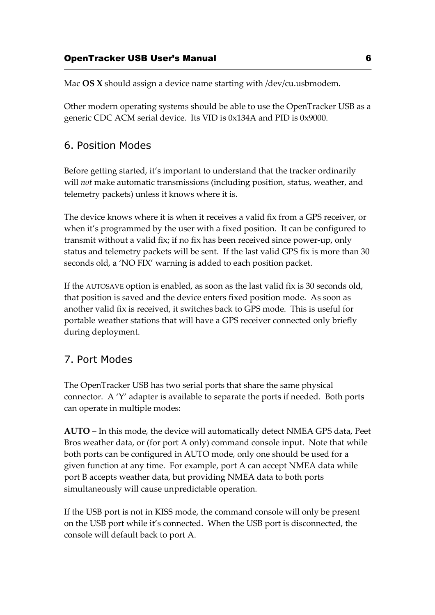Mac **OS X** should assign a device name starting with /dev/cu.usbmodem.

Other modern operating systems should be able to use the OpenTracker USB as a generic CDC ACM serial device. Its VID is 0x134A and PID is 0x9000.

# 6. Position Modes

Before getting started, it's important to understand that the tracker ordinarily will *not* make automatic transmissions (including position, status, weather, and telemetry packets) unless it knows where it is.

The device knows where it is when it receives a valid fix from a GPS receiver, or when it's programmed by the user with a fixed position. It can be configured to transmit without a valid fix; if no fix has been received since power-up, only status and telemetry packets will be sent. If the last valid GPS fix is more than 30 seconds old, a 'NO FIX' warning is added to each position packet.

If the AUTOSAVE option is enabled, as soon as the last valid fix is 30 seconds old, that position is saved and the device enters fixed position mode. As soon as another valid fix is received, it switches back to GPS mode. This is useful for portable weather stations that will have a GPS receiver connected only briefly during deployment.

# 7. Port Modes

The OpenTracker USB has two serial ports that share the same physical connector. A 'Y' adapter is available to separate the ports if needed. Both ports can operate in multiple modes:

**AUTO** – In this mode, the device will automatically detect NMEA GPS data, Peet Bros weather data, or (for port A only) command console input. Note that while both ports can be configured in AUTO mode, only one should be used for a given function at any time. For example, port A can accept NMEA data while port B accepts weather data, but providing NMEA data to both ports simultaneously will cause unpredictable operation.

If the USB port is not in KISS mode, the command console will only be present on the USB port while it's connected. When the USB port is disconnected, the console will default back to port A.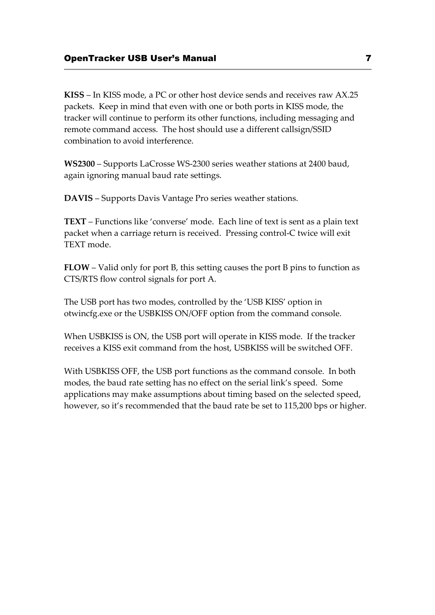**KISS** – In KISS mode, a PC or other host device sends and receives raw AX.25 packets. Keep in mind that even with one or both ports in KISS mode, the tracker will continue to perform its other functions, including messaging and remote command access. The host should use a different callsign/SSID combination to avoid interference.

**WS2300** – Supports LaCrosse WS-2300 series weather stations at 2400 baud, again ignoring manual baud rate settings.

**DAVIS** – Supports Davis Vantage Pro series weather stations.

**TEXT** – Functions like 'converse' mode. Each line of text is sent as a plain text packet when a carriage return is received. Pressing control-C twice will exit TEXT mode.

**FLOW** – Valid only for port B, this setting causes the port B pins to function as CTS/RTS flow control signals for port A.

The USB port has two modes, controlled by the 'USB KISS' option in otwincfg.exe or the USBKISS ON/OFF option from the command console.

When USBKISS is ON, the USB port will operate in KISS mode. If the tracker receives a KISS exit command from the host, USBKISS will be switched OFF.

With USBKISS OFF, the USB port functions as the command console. In both modes, the baud rate setting has no effect on the serial link's speed. Some applications may make assumptions about timing based on the selected speed, however, so it's recommended that the baud rate be set to 115,200 bps or higher.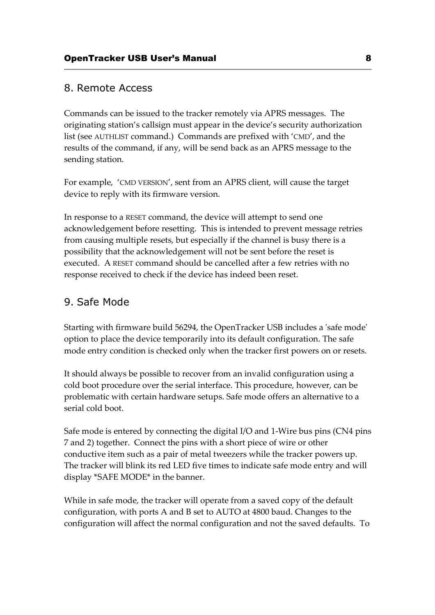# 8. Remote Access

Commands can be issued to the tracker remotely via APRS messages. The originating station's callsign must appear in the device's security authorization list (see AUTHLIST command.) Commands are prefixed with 'CMD', and the results of the command, if any, will be send back as an APRS message to the sending station.

For example, 'CMD VERSION', sent from an APRS client, will cause the target device to reply with its firmware version.

In response to a RESET command, the device will attempt to send one acknowledgement before resetting. This is intended to prevent message retries from causing multiple resets, but especially if the channel is busy there is a possibility that the acknowledgement will not be sent before the reset is executed. A RESET command should be cancelled after a few retries with no response received to check if the device has indeed been reset.

# 9. Safe Mode

Starting with firmware build 56294, the OpenTracker USB includes a 'safe mode' option to place the device temporarily into its default configuration. The safe mode entry condition is checked only when the tracker first powers on or resets.

It should always be possible to recover from an invalid configuration using a cold boot procedure over the serial interface. This procedure, however, can be problematic with certain hardware setups. Safe mode offers an alternative to a serial cold boot.

Safe mode is entered by connecting the digital I/O and 1-Wire bus pins (CN4 pins 7 and 2) together. Connect the pins with a short piece of wire or other conductive item such as a pair of metal tweezers while the tracker powers up. The tracker will blink its red LED five times to indicate safe mode entry and will display \*SAFE MODE\* in the banner.

While in safe mode, the tracker will operate from a saved copy of the default configuration, with ports A and B set to AUTO at 4800 baud. Changes to the configuration will affect the normal configuration and not the saved defaults. To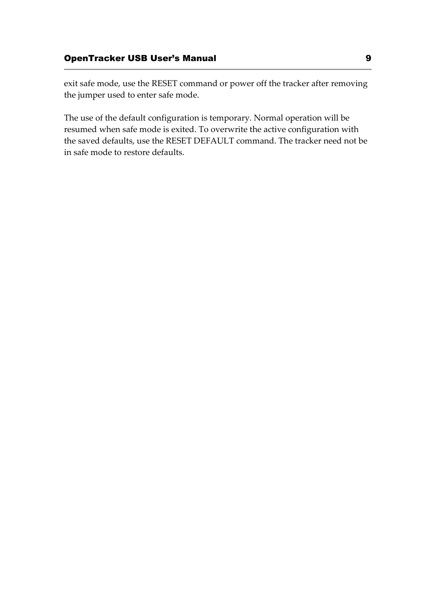exit safe mode, use the RESET command or power off the tracker after removing the jumper used to enter safe mode.

The use of the default configuration is temporary. Normal operation will be resumed when safe mode is exited. To overwrite the active configuration with the saved defaults, use the RESET DEFAULT command. The tracker need not be in safe mode to restore defaults.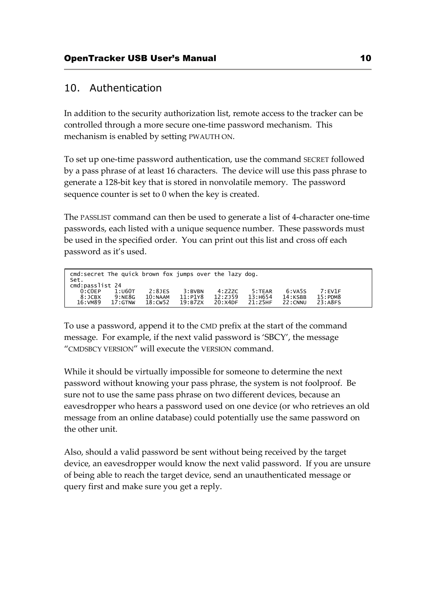# 10. Authentication

In addition to the security authorization list, remote access to the tracker can be controlled through a more secure one-time password mechanism. This mechanism is enabled by setting PWAUTH ON.

To set up one-time password authentication, use the command SECRET followed by a pass phrase of at least 16 characters. The device will use this pass phrase to generate a 128-bit key that is stored in nonvolatile memory. The password sequence counter is set to 0 when the key is created.

The PASSLIST command can then be used to generate a list of 4-character one-time passwords, each listed with a unique sequence number. These passwords must be used in the specified order. You can print out this list and cross off each password as it's used.

| cmd:secret The quick brown fox jumps over the lazy dog. |                       |                    |                       |                    |                       |                    |  |
|---------------------------------------------------------|-----------------------|--------------------|-----------------------|--------------------|-----------------------|--------------------|--|
| Set.<br>cmd:passlist 24                                 |                       |                    |                       |                    |                       |                    |  |
| 1:U60T<br>0:COEP                                        | 2:8JES                | $3:$ BVBN          | 4:222C                | 5:TER              | 6:VASS                | 7:FW1F             |  |
| 9:NE8G<br>8:JCBX<br>16:VM89<br>$17:$ GTNW               | 10:NAAM<br>$18:$ CW52 | 11:P1Y8<br>19:B7ZX | 12: ZJ59<br>$20:}4DF$ | 13:H654<br>21:Z5HF | 14:KSBB<br>$22:$ CNNU | 15:PPM8<br>23:A8FS |  |

To use a password, append it to the CMD prefix at the start of the command message. For example, if the next valid password is 'SBCY', the message "CMDSBCY VERSION" will execute the VERSION command.

While it should be virtually impossible for someone to determine the next password without knowing your pass phrase, the system is not foolproof. Be sure not to use the same pass phrase on two different devices, because an eavesdropper who hears a password used on one device (or who retrieves an old message from an online database) could potentially use the same password on the other unit.

Also, should a valid password be sent without being received by the target device, an eavesdropper would know the next valid password. If you are unsure of being able to reach the target device, send an unauthenticated message or query first and make sure you get a reply.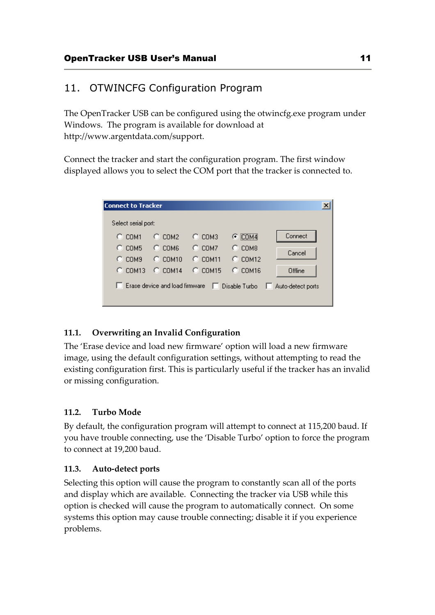# 11. OTWINCFG Configuration Program

The OpenTracker USB can be configured using the otwincfg.exe program under Windows. The program is available for download at http://www.argentdata.com/support.

Connect the tracker and start the configuration program. The first window displayed allows you to select the COM port that the tracker is connected to.

| Connect to Tracker     |                                |                  |                       |                   |  |  |  |
|------------------------|--------------------------------|------------------|-----------------------|-------------------|--|--|--|
| Select serial port:    |                                |                  |                       |                   |  |  |  |
| $C$ COM1               | $C_{L}$ COM2                   | $C_{\perp}$ COM3 | $C$ COM4              | Connect           |  |  |  |
| COM <sub>5</sub><br>n. | $C$ COM6                       | $C$ COMZ         | COM <sub>8</sub><br>o | Cancel            |  |  |  |
| $\degree$ COM9         | $C$ COM10                      | $C$ COM11        | $C$ COM12             |                   |  |  |  |
| <b>COM13</b>           | $C$ COM14                      | $C$ COM15        | $C$ COM16             | Offline           |  |  |  |
|                        | Erase device and load firmware | ш                | Disable Turbo<br>L.   | Auto-detect ports |  |  |  |

# **11.1. Overwriting an Invalid Configuration**

The 'Erase device and load new firmware' option will load a new firmware image, using the default configuration settings, without attempting to read the existing configuration first. This is particularly useful if the tracker has an invalid or missing configuration.

# **11.2. Turbo Mode**

By default, the configuration program will attempt to connect at 115,200 baud. If you have trouble connecting, use the 'Disable Turbo' option to force the program to connect at 19,200 baud.

# **11.3. Auto-detect ports**

Selecting this option will cause the program to constantly scan all of the ports and display which are available. Connecting the tracker via USB while this option is checked will cause the program to automatically connect. On some systems this option may cause trouble connecting; disable it if you experience problems.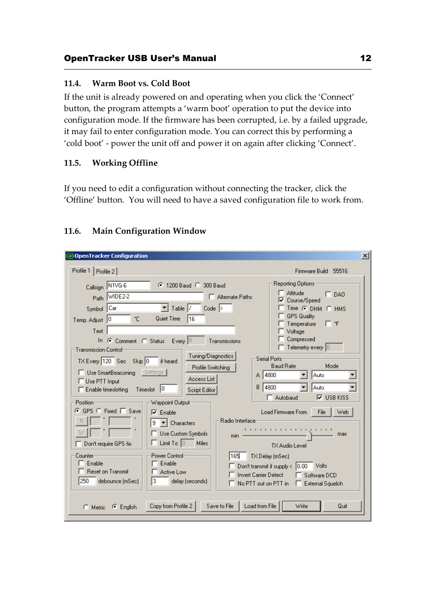#### **11.4. Warm Boot vs. Cold Boot**

If the unit is already powered on and operating when you click the 'Connect' button, the program attempts a 'warm boot' operation to put the device into configuration mode. If the firmware has been corrupted, i.e. by a failed upgrade, it may fail to enter configuration mode. You can correct this by performing a 'cold boot' - power the unit off and power it on again after clicking 'Connect'.

#### **11.5. Working Offline**

If you need to edit a configuration without connecting the tracker, click the 'Offline' button. You will need to have a saved configuration file to work from.

# **11.6. Main Configuration Window**

| <b>DenTracker Configuration</b><br> x                                                                                                                                                                                                                                                                                                                                                                                                                                                                                                                                                                                                                                                                                                                                                                                                                                                                               |                                                                                                                                                                                                                                                                                                                                                                                                                                                                                                                                                                                         |  |  |  |  |
|---------------------------------------------------------------------------------------------------------------------------------------------------------------------------------------------------------------------------------------------------------------------------------------------------------------------------------------------------------------------------------------------------------------------------------------------------------------------------------------------------------------------------------------------------------------------------------------------------------------------------------------------------------------------------------------------------------------------------------------------------------------------------------------------------------------------------------------------------------------------------------------------------------------------|-----------------------------------------------------------------------------------------------------------------------------------------------------------------------------------------------------------------------------------------------------------------------------------------------------------------------------------------------------------------------------------------------------------------------------------------------------------------------------------------------------------------------------------------------------------------------------------------|--|--|--|--|
| Profile 1  <br>Profile 2                                                                                                                                                                                                                                                                                                                                                                                                                                                                                                                                                                                                                                                                                                                                                                                                                                                                                            | Firmware Build 55516                                                                                                                                                                                                                                                                                                                                                                                                                                                                                                                                                                    |  |  |  |  |
| Callsign N1VG-6<br>C 1200 Baud C 300 Baud<br>Path WIDE2-2<br>Alternate Paths<br>Symbol Car<br>$\blacktriangledown$ Table $ /$<br>$Code$ $\geq$<br>Quiet Time<br>۰c<br>116<br>Temp. Adjust 0<br>Text<br>In $\odot$ Comment $\odot$ Status Every $\odot$<br>Transmissions<br><b>Transmission Control:</b><br>Tuning/Diagnostics<br>TX Every 120 Sec Skip 0<br>if heard<br>Profile Switching<br>Use SmartBeaconing Settings<br>Access List<br>□ Use PTT Input<br>B.<br>Enable timeslotting Timeslot 0<br>Script Editor<br>Position-<br>Waypoint Output:<br>© GPS © Fixed □ Save<br>$\nabla$ Enable<br>Badio Interface:<br>9<br>$\blacktriangleright$ Characters<br>Use Custom Symbols<br>min.<br>$\Box$ Limit To $\Box$<br><b>Miles</b><br>Don't require GPS fix<br>Power Control:<br>Counter<br>165<br>Enable<br>Enable<br><b>Reset on Transmit</b><br>Active Low<br>250<br>l3.<br>debounce (mSec)<br>delay (seconds) | Reporting Options:<br><b>Altitude</b><br>$\Gamma$ DAO<br>Course/Speed<br>Time C DHM C HMS<br>GPS Quality<br>Гf<br>Temperature<br>Voltage<br>Compressed<br>Telemetry every $ 0\rangle$<br>Serial Ports-<br><b>Baud Rate</b><br>Mode<br>A 14800<br>Auto<br>14800<br>Auto<br>$\nabla$ USB KISS<br>$\Box$ Autobaud<br>Load Firmware From<br>Web<br>File<br>.<br>max<br>TX Audio Level<br>TX Delay (mSec)<br>Don't transmit if supply $\langle$ $ 0.00$<br><b>Volts</b><br><b>Invert Carrier Detect</b><br>Software DCD<br>$\mathsf{No}$ PTT out on PTT in $\Box$<br><b>External Squelch</b> |  |  |  |  |
| Copy from Profile 2<br>Save to File<br>Load from File<br>$\bullet$ English<br>$\Box$ Metric                                                                                                                                                                                                                                                                                                                                                                                                                                                                                                                                                                                                                                                                                                                                                                                                                         | Write<br>Quit                                                                                                                                                                                                                                                                                                                                                                                                                                                                                                                                                                           |  |  |  |  |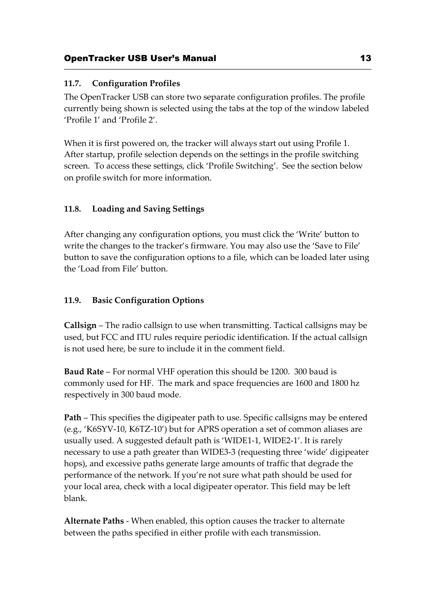# **11.7. Configuration Profiles**

The OpenTracker USB can store two separate configuration profiles. The profile currently being shown is selected using the tabs at the top of the window labeled 'Profile 1' and 'Profile 2'.

When it is first powered on, the tracker will always start out using Profile 1. After startup, profile selection depends on the settings in the profile switching screen. To access these settings, click 'Profile Switching'. See the section below on profile switch for more information.

# **11.8. Loading and Saving Settings**

After changing any configuration options, you must click the 'Write' button to write the changes to the tracker's firmware. You may also use the 'Save to File' button to save the configuration options to a file, which can be loaded later using the 'Load from File' button.

# **11.9. Basic Configuration Options**

**Callsign** – The radio callsign to use when transmitting. Tactical callsigns may be used, but FCC and ITU rules require periodic identification. If the actual callsign is not used here, be sure to include it in the comment field.

**Baud Rate** – For normal VHF operation this should be 1200. 300 baud is commonly used for HF. The mark and space frequencies are 1600 and 1800 hz respectively in 300 baud mode.

**Path** – This specifies the digipeater path to use. Specific callsigns may be entered (e.g., 'K6SYV-10, K6TZ-10') but for APRS operation a set of common aliases are usually used. A suggested default path is 'WIDE1-1, WIDE2-1'. It is rarely necessary to use a path greater than WIDE3-3 (requesting three 'wide' digipeater hops), and excessive paths generate large amounts of traffic that degrade the performance of the network. If you're not sure what path should be used for your local area, check with a local digipeater operator. This field may be left blank.

**Alternate Paths** - When enabled, this option causes the tracker to alternate between the paths specified in either profile with each transmission.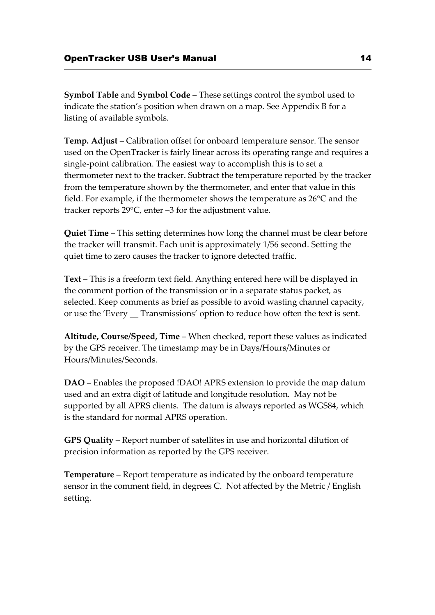**Symbol Table** and **Symbol Code** – These settings control the symbol used to indicate the station's position when drawn on a map. See Appendix B for a listing of available symbols.

**Temp. Adjust** – Calibration offset for onboard temperature sensor. The sensor used on the OpenTracker is fairly linear across its operating range and requires a single-point calibration. The easiest way to accomplish this is to set a thermometer next to the tracker. Subtract the temperature reported by the tracker from the temperature shown by the thermometer, and enter that value in this field. For example, if the thermometer shows the temperature as 26°C and the tracker reports 29°C, enter –3 for the adjustment value.

**Quiet Time** – This setting determines how long the channel must be clear before the tracker will transmit. Each unit is approximately 1/56 second. Setting the quiet time to zero causes the tracker to ignore detected traffic.

**Text** – This is a freeform text field. Anything entered here will be displayed in the comment portion of the transmission or in a separate status packet, as selected. Keep comments as brief as possible to avoid wasting channel capacity, or use the 'Every \_\_ Transmissions' option to reduce how often the text is sent.

**Altitude, Course/Speed, Time** – When checked, report these values as indicated by the GPS receiver. The timestamp may be in Days/Hours/Minutes or Hours/Minutes/Seconds.

**DAO** – Enables the proposed !DAO! APRS extension to provide the map datum used and an extra digit of latitude and longitude resolution. May not be supported by all APRS clients. The datum is always reported as WGS84, which is the standard for normal APRS operation.

**GPS Quality** – Report number of satellites in use and horizontal dilution of precision information as reported by the GPS receiver.

**Temperature** – Report temperature as indicated by the onboard temperature sensor in the comment field, in degrees C. Not affected by the Metric / English setting.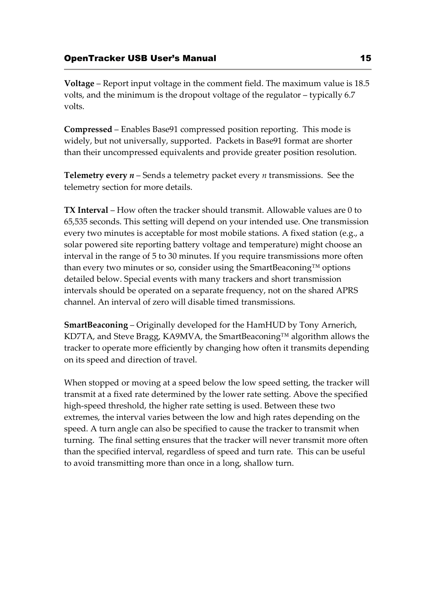**Voltage** – Report input voltage in the comment field. The maximum value is 18.5 volts, and the minimum is the dropout voltage of the regulator – typically 6.7 volts.

**Compressed** – Enables Base91 compressed position reporting. This mode is widely, but not universally, supported. Packets in Base91 format are shorter than their uncompressed equivalents and provide greater position resolution.

**Telemetry every** *n* – Sends a telemetry packet every *n* transmissions. See the telemetry section for more details.

**TX Interval** – How often the tracker should transmit. Allowable values are 0 to 65,535 seconds. This setting will depend on your intended use. One transmission every two minutes is acceptable for most mobile stations. A fixed station (e.g., a solar powered site reporting battery voltage and temperature) might choose an interval in the range of 5 to 30 minutes. If you require transmissions more often than every two minutes or so, consider using the SmartBeaconing™ options detailed below. Special events with many trackers and short transmission intervals should be operated on a separate frequency, not on the shared APRS channel. An interval of zero will disable timed transmissions.

**SmartBeaconing** – Originally developed for the HamHUD by Tony Arnerich, KD7TA, and Steve Bragg, KA9MVA, the SmartBeaconing™ algorithm allows the tracker to operate more efficiently by changing how often it transmits depending on its speed and direction of travel.

When stopped or moving at a speed below the low speed setting, the tracker will transmit at a fixed rate determined by the lower rate setting. Above the specified high-speed threshold, the higher rate setting is used. Between these two extremes, the interval varies between the low and high rates depending on the speed. A turn angle can also be specified to cause the tracker to transmit when turning. The final setting ensures that the tracker will never transmit more often than the specified interval, regardless of speed and turn rate. This can be useful to avoid transmitting more than once in a long, shallow turn.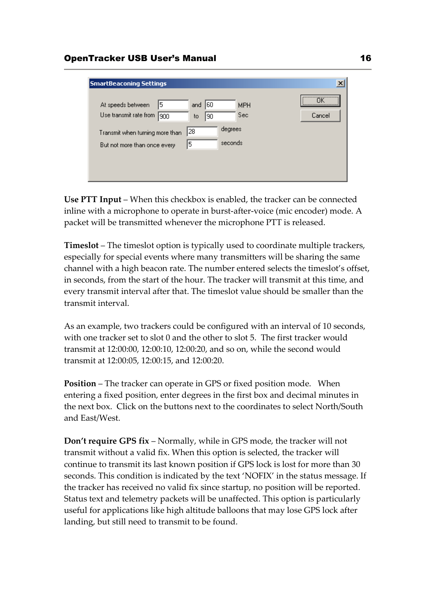| <b>SmartBeaconing Settings</b>                                  |                               |                    | $\mathbf{x}$         |
|-----------------------------------------------------------------|-------------------------------|--------------------|----------------------|
| 5<br>At speeds between<br>Use transmit rate from<br>900         | 60<br>and<br>90<br>to         | <b>MPH</b><br>Sec. | <br>ΠK<br><br>Cancel |
| Transmit when turning more than<br>But not more than once every | degrees<br>28<br>seconds<br>5 |                    |                      |
|                                                                 |                               |                    |                      |

**Use PTT Input** – When this checkbox is enabled, the tracker can be connected inline with a microphone to operate in burst-after-voice (mic encoder) mode. A packet will be transmitted whenever the microphone PTT is released.

**Timeslot** – The timeslot option is typically used to coordinate multiple trackers, especially for special events where many transmitters will be sharing the same channel with a high beacon rate. The number entered selects the timeslot's offset, in seconds, from the start of the hour. The tracker will transmit at this time, and every transmit interval after that. The timeslot value should be smaller than the transmit interval.

As an example, two trackers could be configured with an interval of 10 seconds, with one tracker set to slot 0 and the other to slot 5. The first tracker would transmit at 12:00:00, 12:00:10, 12:00:20, and so on, while the second would transmit at 12:00:05, 12:00:15, and 12:00:20.

**Position** – The tracker can operate in GPS or fixed position mode. When entering a fixed position, enter degrees in the first box and decimal minutes in the next box. Click on the buttons next to the coordinates to select North/South and East/West.

**Don't require GPS fix** – Normally, while in GPS mode, the tracker will not transmit without a valid fix. When this option is selected, the tracker will continue to transmit its last known position if GPS lock is lost for more than 30 seconds. This condition is indicated by the text 'NOFIX' in the status message. If the tracker has received no valid fix since startup, no position will be reported. Status text and telemetry packets will be unaffected. This option is particularly useful for applications like high altitude balloons that may lose GPS lock after landing, but still need to transmit to be found.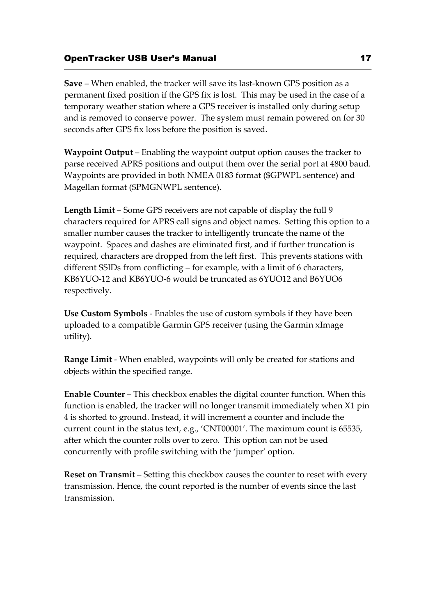**Save** – When enabled, the tracker will save its last-known GPS position as a permanent fixed position if the GPS fix is lost. This may be used in the case of a temporary weather station where a GPS receiver is installed only during setup and is removed to conserve power. The system must remain powered on for 30 seconds after GPS fix loss before the position is saved.

**Waypoint Output** – Enabling the waypoint output option causes the tracker to parse received APRS positions and output them over the serial port at 4800 baud. Waypoints are provided in both NMEA 0183 format (\$GPWPL sentence) and Magellan format (\$PMGNWPL sentence).

**Length Limit** – Some GPS receivers are not capable of display the full 9 characters required for APRS call signs and object names. Setting this option to a smaller number causes the tracker to intelligently truncate the name of the waypoint. Spaces and dashes are eliminated first, and if further truncation is required, characters are dropped from the left first. This prevents stations with different SSIDs from conflicting – for example, with a limit of 6 characters, KB6YUO-12 and KB6YUO-6 would be truncated as 6YUO12 and B6YUO6 respectively.

**Use Custom Symbols** - Enables the use of custom symbols if they have been uploaded to a compatible Garmin GPS receiver (using the Garmin xImage utility).

**Range Limit** - When enabled, waypoints will only be created for stations and objects within the specified range.

**Enable Counter** – This checkbox enables the digital counter function. When this function is enabled, the tracker will no longer transmit immediately when X1 pin 4 is shorted to ground. Instead, it will increment a counter and include the current count in the status text, e.g., 'CNT00001'. The maximum count is 65535, after which the counter rolls over to zero. This option can not be used concurrently with profile switching with the 'jumper' option.

**Reset on Transmit** – Setting this checkbox causes the counter to reset with every transmission. Hence, the count reported is the number of events since the last transmission.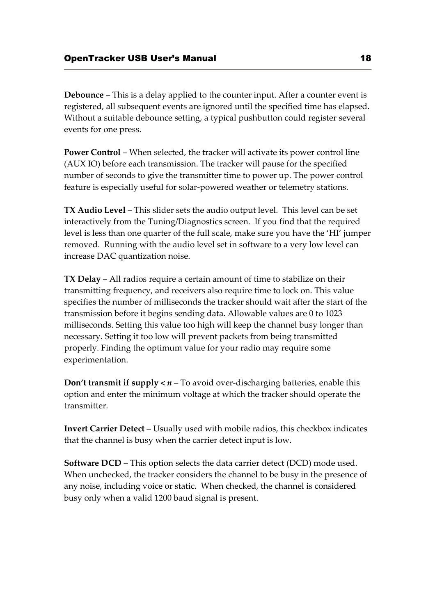**Debounce** – This is a delay applied to the counter input. After a counter event is registered, all subsequent events are ignored until the specified time has elapsed. Without a suitable debounce setting, a typical pushbutton could register several events for one press.

**Power Control** – When selected, the tracker will activate its power control line (AUX IO) before each transmission. The tracker will pause for the specified number of seconds to give the transmitter time to power up. The power control feature is especially useful for solar-powered weather or telemetry stations.

**TX Audio Level** – This slider sets the audio output level. This level can be set interactively from the Tuning/Diagnostics screen. If you find that the required level is less than one quarter of the full scale, make sure you have the 'HI' jumper removed. Running with the audio level set in software to a very low level can increase DAC quantization noise.

**TX Delay** – All radios require a certain amount of time to stabilize on their transmitting frequency, and receivers also require time to lock on. This value specifies the number of milliseconds the tracker should wait after the start of the transmission before it begins sending data. Allowable values are 0 to 1023 milliseconds. Setting this value too high will keep the channel busy longer than necessary. Setting it too low will prevent packets from being transmitted properly. Finding the optimum value for your radio may require some experimentation.

**Don't transmit if supply**  $\lt n$  **– To avoid over-discharging batteries, enable this** option and enter the minimum voltage at which the tracker should operate the transmitter.

**Invert Carrier Detect** – Usually used with mobile radios, this checkbox indicates that the channel is busy when the carrier detect input is low.

**Software DCD** – This option selects the data carrier detect (DCD) mode used. When unchecked, the tracker considers the channel to be busy in the presence of any noise, including voice or static. When checked, the channel is considered busy only when a valid 1200 baud signal is present.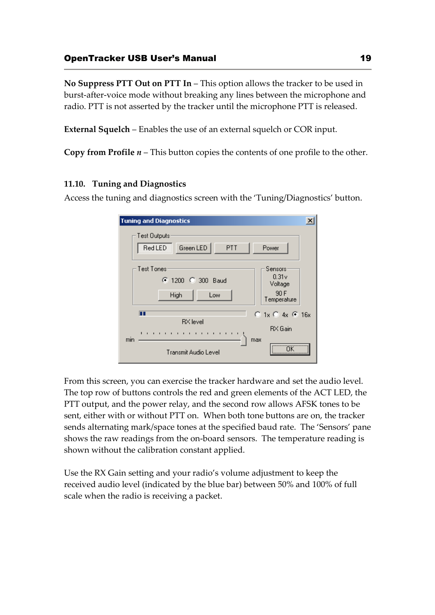# OpenTracker USB User's Manual 19

**No Suppress PTT Out on PTT In** – This option allows the tracker to be used in burst-after-voice mode without breaking any lines between the microphone and radio. PTT is not asserted by the tracker until the microphone PTT is released.

**External Squelch** – Enables the use of an external squelch or COR input.

**Copy from Profile** *n* – This button copies the contents of one profile to the other.

# **11.10. Tuning and Diagnostics**

Access the tuning and diagnostics screen with the 'Tuning/Diagnostics' button.

| <b>Tuning and Diagnostics</b>                                                                                                                                   | $\boldsymbol{\times}$ |
|-----------------------------------------------------------------------------------------------------------------------------------------------------------------|-----------------------|
| Test Outputs<br>Green LED<br>PTT<br><b>Red LED</b><br>Power                                                                                                     |                       |
| Test Tones<br>Sensors<br>0.31v<br>● 1200 ● 300 Baud<br>Voltage<br>90 F<br>High<br>Low<br>Temperature                                                            |                       |
| $O$ 1x $O$ 4x $O$ 16x<br>ш<br><b>RX</b> level<br>RX Gain<br>$-1$ , $-1$ , $-1$ , $-1$<br>$\mathbf{1}$<br>$\mathbf{I}$<br>min<br>max<br>Transmit Audio Level<br> |                       |

From this screen, you can exercise the tracker hardware and set the audio level. The top row of buttons controls the red and green elements of the ACT LED, the PTT output, and the power relay, and the second row allows AFSK tones to be sent, either with or without PTT on. When both tone buttons are on, the tracker sends alternating mark/space tones at the specified baud rate. The 'Sensors' pane shows the raw readings from the on-board sensors. The temperature reading is shown without the calibration constant applied.

Use the RX Gain setting and your radio's volume adjustment to keep the received audio level (indicated by the blue bar) between 50% and 100% of full scale when the radio is receiving a packet.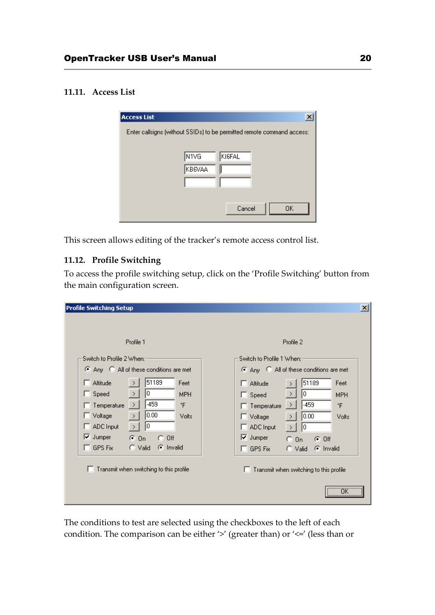# **11.11. Access List**

| <b>Access List</b><br>×                                                |
|------------------------------------------------------------------------|
| Enter callsigns (without SSIDs) to be permitted remote command access: |
|                                                                        |
| N1VG<br>KI6FAL                                                         |
| KB6VAA                                                                 |
|                                                                        |
|                                                                        |
| 0K<br>Cancel                                                           |
|                                                                        |

This screen allows editing of the tracker's remote access control list.

# **11.12. Profile Switching**

To access the profile switching setup, click on the 'Profile Switching' button from the main configuration screen.

| <b>Profile Switching Setup</b>                                                                                                                                     | $\vert x \vert$                                                                                                                                                           |
|--------------------------------------------------------------------------------------------------------------------------------------------------------------------|---------------------------------------------------------------------------------------------------------------------------------------------------------------------------|
|                                                                                                                                                                    |                                                                                                                                                                           |
| Profile 1                                                                                                                                                          | Profile 2                                                                                                                                                                 |
| Switch to Profile 2 When:                                                                                                                                          | Switch to Profile 1 When:                                                                                                                                                 |
| C Any C All of these conditions are met                                                                                                                            | C Any C All of these conditions are met                                                                                                                                   |
| 51189<br>Altitude<br>Feet<br>0<br>Speed<br>П<br><b>MPH</b><br>$\rightarrow$<br>-459<br>۴F<br>Temperature<br>⇒<br>0.00<br>Voltage<br>Volts<br>- 11<br>$\rightarrow$ | 51189<br>Feet<br>$\Box$ Altitude<br>lo.<br>$\rightarrow$<br>$\Box$ Speed<br><b>MPH</b><br>$-459$<br>۴F<br>⇒<br>$\Box$ Temperature<br>0.00<br>$\Box$ Voltage<br>Volts<br>⋋ |
| 0<br>ADC Input<br>$\triangledown$ Jumper<br>$G$ On<br>$C$ Off                                                                                                      | $\Box$ ADC Input<br>I۵<br>$\overline{\triangledown}$ Jumper<br>$C$ On<br>$G$ Off                                                                                          |
| C Invalid<br>GPS Fix<br>$\degree$ Valid<br>T.                                                                                                                      | $\Box$ GPS Fix<br>C Invalid<br>C Valid                                                                                                                                    |
| Transmit when switching to this profile                                                                                                                            | Transmit when switching to this profile<br>ΠK<br>                                                                                                                         |

The conditions to test are selected using the checkboxes to the left of each condition. The comparison can be either '>' (greater than) or '<=' (less than or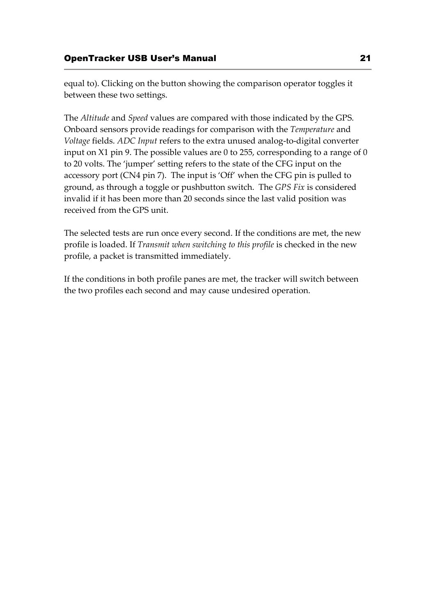equal to). Clicking on the button showing the comparison operator toggles it between these two settings.

The *Altitude* and *Speed* values are compared with those indicated by the GPS. Onboard sensors provide readings for comparison with the *Temperature* and *Voltage* fields. *ADC Input* refers to the extra unused analog-to-digital converter input on X1 pin 9. The possible values are 0 to 255, corresponding to a range of 0 to 20 volts. The 'jumper' setting refers to the state of the CFG input on the accessory port (CN4 pin 7). The input is 'Off' when the CFG pin is pulled to ground, as through a toggle or pushbutton switch. The *GPS Fix* is considered invalid if it has been more than 20 seconds since the last valid position was received from the GPS unit.

The selected tests are run once every second. If the conditions are met, the new profile is loaded. If *Transmit when switching to this profile* is checked in the new profile, a packet is transmitted immediately.

If the conditions in both profile panes are met, the tracker will switch between the two profiles each second and may cause undesired operation.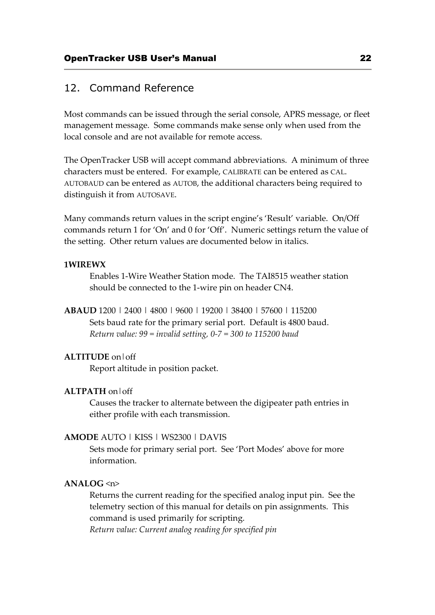# 12. Command Reference

Most commands can be issued through the serial console, APRS message, or fleet management message. Some commands make sense only when used from the local console and are not available for remote access.

The OpenTracker USB will accept command abbreviations. A minimum of three characters must be entered. For example, CALIBRATE can be entered as CAL. AUTOBAUD can be entered as AUTOB, the additional characters being required to distinguish it from AUTOSAVE.

Many commands return values in the script engine's 'Result' variable. On/Off commands return 1 for 'On' and 0 for 'Off'. Numeric settings return the value of the setting. Other return values are documented below in italics.

#### **1WIREWX**

Enables 1-Wire Weather Station mode. The TAI8515 weather station should be connected to the 1-wire pin on header CN4.

**ABAUD** 1200 | 2400 | 4800 | 9600 | 19200 | 38400 | 57600 | 115200 Sets baud rate for the primary serial port. Default is 4800 baud. *Return value: 99 = invalid setting, 0-7 = 300 to 115200 baud*

#### **ALTITUDE** on|off

Report altitude in position packet.

#### **ALTPATH** on|off

Causes the tracker to alternate between the digipeater path entries in either profile with each transmission.

#### **AMODE** AUTO | KISS | WS2300 | DAVIS

Sets mode for primary serial port. See 'Port Modes' above for more information.

# **ANALOG** <n>

Returns the current reading for the specified analog input pin. See the telemetry section of this manual for details on pin assignments. This command is used primarily for scripting.

*Return value: Current analog reading for specified pin*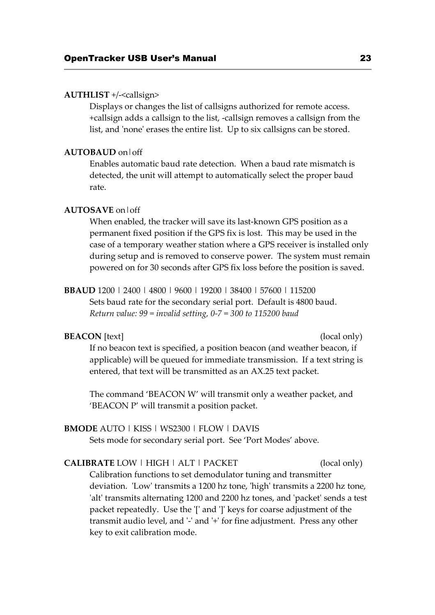#### **AUTHLIST** +/-<callsign>

Displays or changes the list of callsigns authorized for remote access. +callsign adds a callsign to the list, -callsign removes a callsign from the list, and 'none' erases the entire list. Up to six callsigns can be stored.

#### **AUTOBAUD** on|off

Enables automatic baud rate detection. When a baud rate mismatch is detected, the unit will attempt to automatically select the proper baud rate.

#### **AUTOSAVE** on|off

When enabled, the tracker will save its last-known GPS position as a permanent fixed position if the GPS fix is lost. This may be used in the case of a temporary weather station where a GPS receiver is installed only during setup and is removed to conserve power. The system must remain powered on for 30 seconds after GPS fix loss before the position is saved.

**BBAUD** 1200 | 2400 | 4800 | 9600 | 19200 | 38400 | 57600 | 115200 Sets baud rate for the secondary serial port. Default is 4800 baud. *Return value: 99 = invalid setting, 0-7 = 300 to 115200 baud*

#### **BEACON** [text] (local only)

If no beacon text is specified, a position beacon (and weather beacon, if applicable) will be queued for immediate transmission. If a text string is entered, that text will be transmitted as an AX.25 text packet.

The command 'BEACON W' will transmit only a weather packet, and 'BEACON P' will transmit a position packet.

# **BMODE** AUTO | KISS | WS2300 | FLOW | DAVIS

Sets mode for secondary serial port. See 'Port Modes' above.

# **CALIBRATE** LOW | HIGH | ALT | PACKET (local only) Calibration functions to set demodulator tuning and transmitter deviation. 'Low' transmits a 1200 hz tone, 'high' transmits a 2200 hz tone, 'alt' transmits alternating 1200 and 2200 hz tones, and 'packet' sends a test packet repeatedly. Use the '[' and ']' keys for coarse adjustment of the transmit audio level, and '-' and '+' for fine adjustment. Press any other key to exit calibration mode.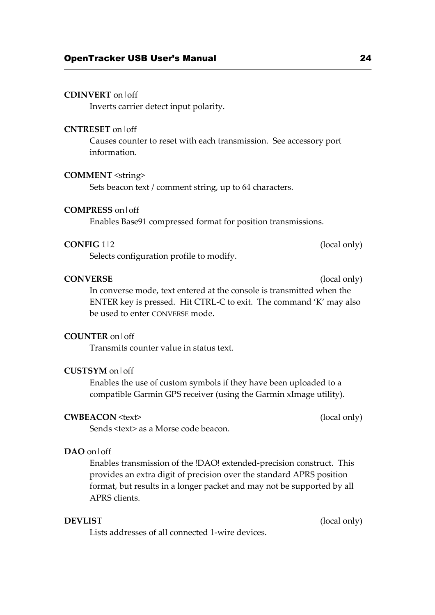#### **CDINVERT** on|off

Inverts carrier detect input polarity.

#### **CNTRESET** on|off

Causes counter to reset with each transmission. See accessory port information.

# **COMMENT** <string>

Sets beacon text / comment string, up to 64 characters.

#### **COMPRESS** on|off

Enables Base91 compressed format for position transmissions.

#### **CONFIG** 1|2 (local only)

Selects configuration profile to modify.

#### **CONVERSE** (local only)

In converse mode, text entered at the console is transmitted when the ENTER key is pressed. Hit CTRL-C to exit. The command 'K' may also be used to enter CONVERSE mode.

#### **COUNTER** on|off

Transmits counter value in status text.

### **CUSTSYM** on|off

Enables the use of custom symbols if they have been uploaded to a compatible Garmin GPS receiver (using the Garmin xImage utility).

### **CWBEACON** <text> (local only)

Sends <text> as a Morse code beacon.

### **DAO** on|off

Enables transmission of the !DAO! extended-precision construct. This provides an extra digit of precision over the standard APRS position format, but results in a longer packet and may not be supported by all APRS clients.

Lists addresses of all connected 1-wire devices.

**DEVLIST** (local only)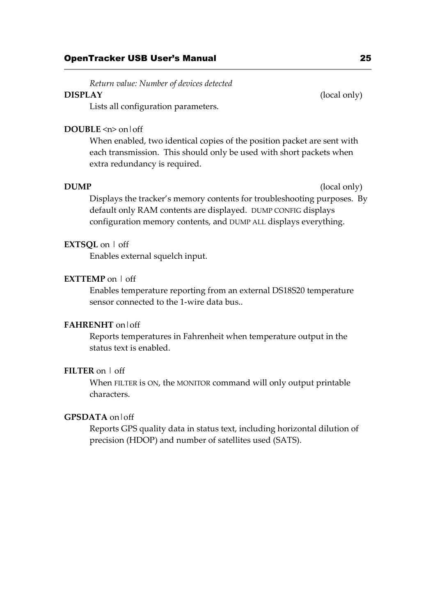*Return value: Number of devices detected* 

# **DISPLAY** (local only)

Lists all configuration parameters.

# **DOUBLE** <n> on|off

When enabled, two identical copies of the position packet are sent with each transmission. This should only be used with short packets when extra redundancy is required.

**DUMP** (local only)

Displays the tracker's memory contents for troubleshooting purposes. By default only RAM contents are displayed. DUMP CONFIG displays configuration memory contents, and DUMP ALL displays everything.

# **EXTSQL** on | off

Enables external squelch input.

# **EXTTEMP** on | off

Enables temperature reporting from an external DS18S20 temperature sensor connected to the 1-wire data bus..

# **FAHRENHT** on|off

Reports temperatures in Fahrenheit when temperature output in the status text is enabled.

### **FILTER** on | off

When FILTER is ON, the MONITOR command will only output printable characters.

### **GPSDATA** on|off

Reports GPS quality data in status text, including horizontal dilution of precision (HDOP) and number of satellites used (SATS).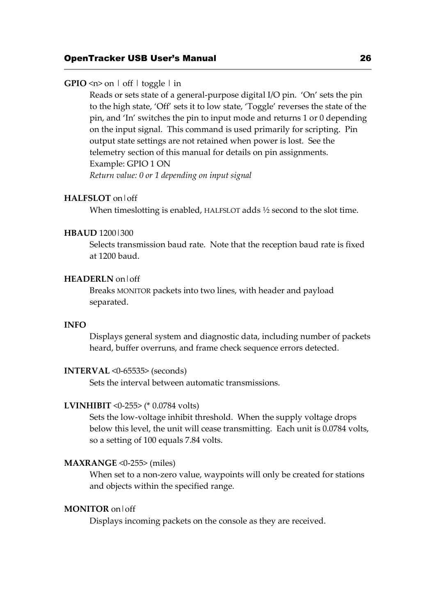# **GPIO**  $\leq n$  on  $\mid$  off  $\mid$  toggle  $\mid$  in

Reads or sets state of a general-purpose digital I/O pin. 'On' sets the pin to the high state, 'Off' sets it to low state, 'Toggle' reverses the state of the pin, and 'In' switches the pin to input mode and returns 1 or 0 depending on the input signal. This command is used primarily for scripting. Pin output state settings are not retained when power is lost. See the telemetry section of this manual for details on pin assignments. Example: GPIO 1 ON *Return value: 0 or 1 depending on input signal* 

#### **HALFSLOT** on|off

When timeslotting is enabled, HALFSLOT adds <sup>1/2</sup> second to the slot time.

#### **HBAUD** 1200|300

Selects transmission baud rate. Note that the reception baud rate is fixed at 1200 baud.

#### **HEADERLN** on|off

Breaks MONITOR packets into two lines, with header and payload separated.

## **INFO**

Displays general system and diagnostic data, including number of packets heard, buffer overruns, and frame check sequence errors detected.

#### **INTERVAL** <0-65535> (seconds)

Sets the interval between automatic transmissions.

#### **LVINHIBIT** <0-255> (\* 0.0784 volts)

Sets the low-voltage inhibit threshold. When the supply voltage drops below this level, the unit will cease transmitting. Each unit is 0.0784 volts, so a setting of 100 equals 7.84 volts.

#### **MAXRANGE** <0-255> (miles)

When set to a non-zero value, waypoints will only be created for stations and objects within the specified range.

# **MONITOR** on|off

Displays incoming packets on the console as they are received.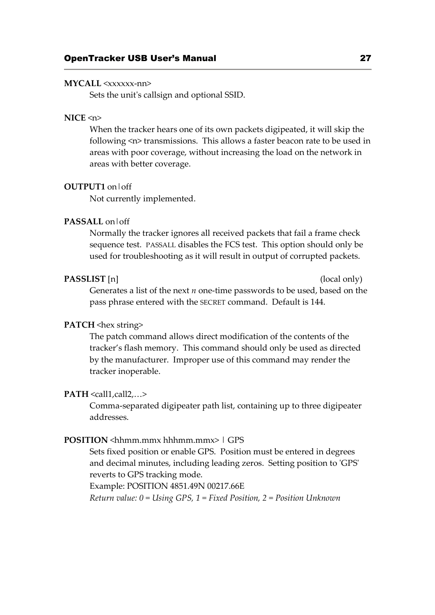#### **MYCALL** <xxxxxx-nn>

Sets the unit's callsign and optional SSID.

### **NICE** <n>

When the tracker hears one of its own packets digipeated, it will skip the following <n> transmissions. This allows a faster beacon rate to be used in areas with poor coverage, without increasing the load on the network in areas with better coverage.

#### **OUTPUT1** on|off

Not currently implemented.

# **PASSALL** on|off

Normally the tracker ignores all received packets that fail a frame check sequence test. PASSALL disables the FCS test. This option should only be used for troubleshooting as it will result in output of corrupted packets.

#### **PASSLIST** [n] (local only)

Generates a list of the next *n* one-time passwords to be used, based on the pass phrase entered with the SECRET command. Default is 144.

#### **PATCH** <hex string>

The patch command allows direct modification of the contents of the tracker's flash memory. This command should only be used as directed by the manufacturer. Improper use of this command may render the tracker inoperable.

#### $PATH <$ call1,call2,...>

Comma-separated digipeater path list, containing up to three digipeater addresses.

#### **POSITION** <hhmm.mmx hhhmm.mmx> | GPS

Sets fixed position or enable GPS. Position must be entered in degrees and decimal minutes, including leading zeros. Setting position to 'GPS' reverts to GPS tracking mode.

Example: POSITION 4851.49N 00217.66E

*Return value: 0 = Using GPS, 1 = Fixed Position, 2 = Position Unknown*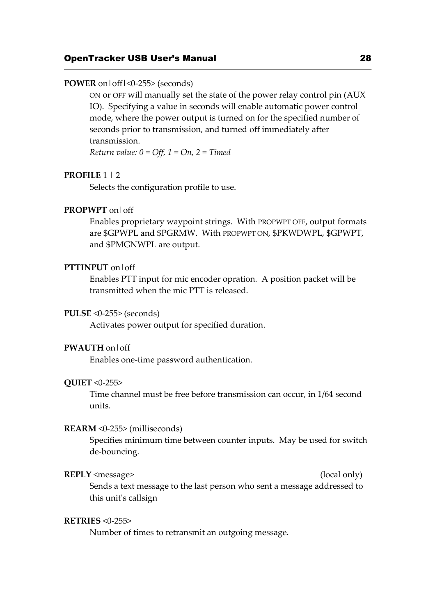# OpenTracker USB User's Manual 28

#### **POWER** on|off|<0-255> (seconds)

ON or OFF will manually set the state of the power relay control pin (AUX IO). Specifying a value in seconds will enable automatic power control mode, where the power output is turned on for the specified number of seconds prior to transmission, and turned off immediately after transmission.

*Return value: 0 = Off, 1 = On, 2 = Timed*

# **PROFILE** 1 | 2

Selects the configuration profile to use.

#### **PROPWPT** on|off

Enables proprietary waypoint strings. With PROPWPT OFF, output formats are \$GPWPL and \$PGRMW. With PROPWPT ON, \$PKWDWPL, \$GPWPT, and \$PMGNWPL are output.

# **PTTINPUT** on|off

Enables PTT input for mic encoder opration. A position packet will be transmitted when the mic PTT is released.

#### **PULSE** <0-255> (seconds)

Activates power output for specified duration.

#### **PWAUTH** on|off

Enables one-time password authentication.

#### **QUIET** <0-255>

Time channel must be free before transmission can occur, in 1/64 second units.

#### **REARM** <0-255> (milliseconds)

Specifies minimum time between counter inputs. May be used for switch de-bouncing.

#### **REPLY** <message> (local only)

Sends a text message to the last person who sent a message addressed to this unit's callsign

#### **RETRIES** <0-255>

Number of times to retransmit an outgoing message.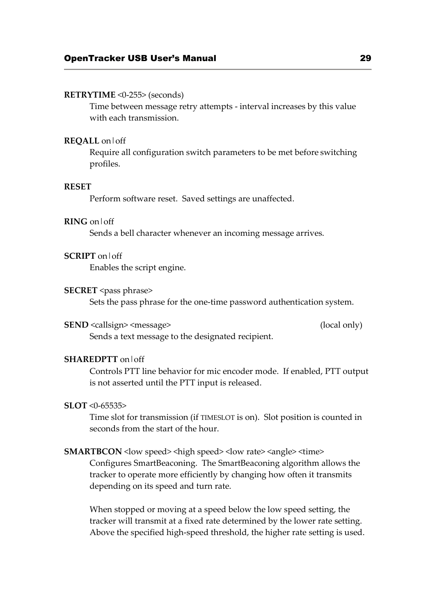#### **RETRYTIME** <0-255> (seconds)

Time between message retry attempts - interval increases by this value with each transmission.

#### **REQALL** on|off

Require all configuration switch parameters to be met before switching profiles.

#### **RESET**

Perform software reset. Saved settings are unaffected.

# **RING** on|off

Sends a bell character whenever an incoming message arrives.

#### **SCRIPT** on|off

Enables the script engine.

#### **SECRET** <pass phrase>

Sets the pass phrase for the one-time password authentication system.

#### **SEND** <callsign> <message> (local only)

Sends a text message to the designated recipient.

# **SHAREDPTT** on|off

Controls PTT line behavior for mic encoder mode. If enabled, PTT output is not asserted until the PTT input is released.

#### **SLOT** <0-65535>

Time slot for transmission (if TIMESLOT is on). Slot position is counted in seconds from the start of the hour.

#### **SMARTBCON** < low speed> < high speed> < low rate> < angle> < time>

Configures SmartBeaconing. The SmartBeaconing algorithm allows the tracker to operate more efficiently by changing how often it transmits depending on its speed and turn rate.

When stopped or moving at a speed below the low speed setting, the tracker will transmit at a fixed rate determined by the lower rate setting. Above the specified high-speed threshold, the higher rate setting is used.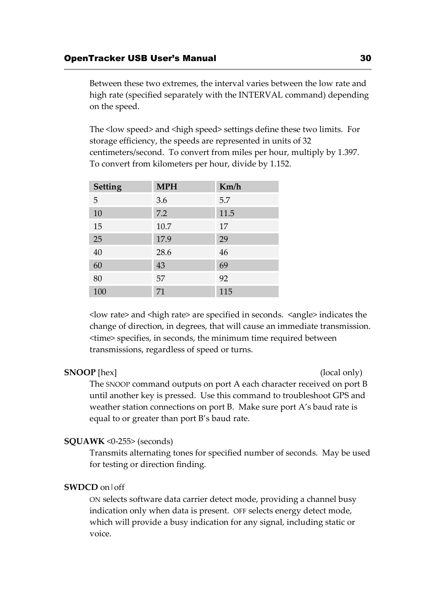Between these two extremes, the interval varies between the low rate and high rate (specified separately with the INTERVAL command) depending on the speed.

The <low speed> and <high speed> settings define these two limits. For storage efficiency, the speeds are represented in units of 32 centimeters/second. To convert from miles per hour, multiply by 1.397. To convert from kilometers per hour, divide by 1.152.

| <b>Setting</b> | <b>MPH</b> | Km/h |
|----------------|------------|------|
| 5              | 3.6        | 5.7  |
| 10             | 7.2        | 11.5 |
| 15             | 10.7       | 17   |
| 25             | 17.9       | 29   |
| $40\,$         | 28.6       | 46   |
| 60             | 43         | 69   |
| 80             | 57         | 92   |
| 100            | 71         | 115  |

<low rate> and <high rate> are specified in seconds. <angle> indicates the change of direction, in degrees, that will cause an immediate transmission. <time> specifies, in seconds, the minimum time required between transmissions, regardless of speed or turns.

# **SNOOP** [hex] (local only)

The SNOOP command outputs on port A each character received on port B until another key is pressed. Use this command to troubleshoot GPS and weather station connections on port B. Make sure port A's baud rate is equal to or greater than port B's baud rate.

#### **SQUAWK** <0-255> (seconds)

Transmits alternating tones for specified number of seconds. May be used for testing or direction finding.

# **SWDCD** on|off

ON selects software data carrier detect mode, providing a channel busy indication only when data is present. OFF selects energy detect mode, which will provide a busy indication for any signal, including static or voice.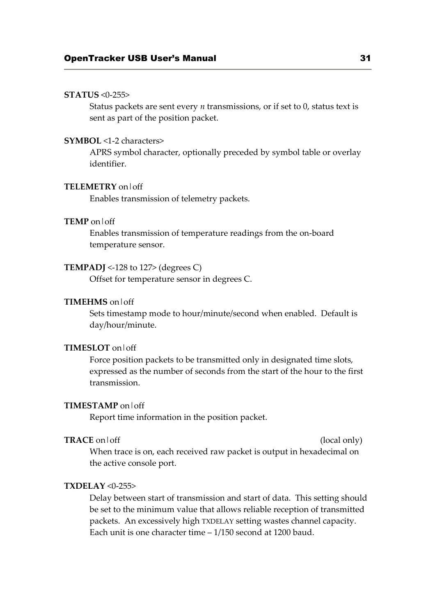#### **STATUS** <0-255>

Status packets are sent every *n* transmissions, or if set to 0, status text is sent as part of the position packet.

### **SYMBOL** <1-2 characters>

APRS symbol character, optionally preceded by symbol table or overlay identifier.

#### **TELEMETRY** on|off

Enables transmission of telemetry packets.

#### **TEMP** on|off

Enables transmission of temperature readings from the on-board temperature sensor.

#### **TEMPADJ** <-128 to 127> (degrees C)

Offset for temperature sensor in degrees C.

## **TIMEHMS** on|off

Sets timestamp mode to hour/minute/second when enabled. Default is day/hour/minute.

#### **TIMESLOT** on|off

Force position packets to be transmitted only in designated time slots, expressed as the number of seconds from the start of the hour to the first transmission.

#### **TIMESTAMP** on|off

Report time information in the position packet.

#### **TRACE** on  $\text{off}$  (local only)

When trace is on, each received raw packet is output in hexadecimal on the active console port.

#### **TXDELAY** <0-255>

Delay between start of transmission and start of data. This setting should be set to the minimum value that allows reliable reception of transmitted packets. An excessively high TXDELAY setting wastes channel capacity. Each unit is one character time – 1/150 second at 1200 baud.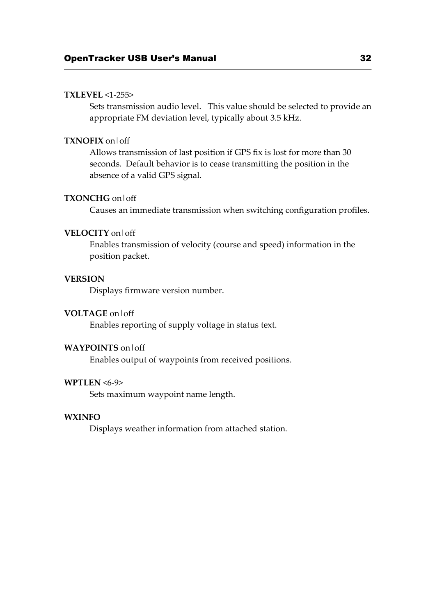# **TXLEVEL** <1-255>

Sets transmission audio level. This value should be selected to provide an appropriate FM deviation level, typically about 3.5 kHz.

# **TXNOFIX** on|off

Allows transmission of last position if GPS fix is lost for more than 30 seconds. Default behavior is to cease transmitting the position in the absence of a valid GPS signal.

### **TXONCHG** on|off

Causes an immediate transmission when switching configuration profiles.

# **VELOCITY** on|off

Enables transmission of velocity (course and speed) information in the position packet.

#### **VERSION**

Displays firmware version number.

#### **VOLTAGE** on|off

Enables reporting of supply voltage in status text.

# **WAYPOINTS** on|off

Enables output of waypoints from received positions.

# **WPTLEN** <6-9>

Sets maximum waypoint name length.

#### **WXINFO**

Displays weather information from attached station.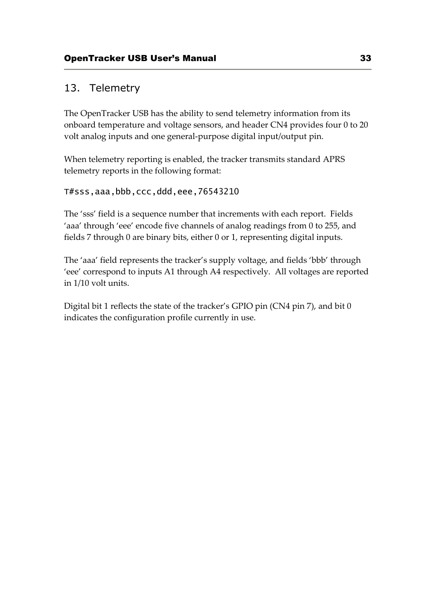# 13. Telemetry

The OpenTracker USB has the ability to send telemetry information from its onboard temperature and voltage sensors, and header CN4 provides four 0 to 20 volt analog inputs and one general-purpose digital input/output pin.

When telemetry reporting is enabled, the tracker transmits standard APRS telemetry reports in the following format:

# T#sss,aaa,bbb,ccc,ddd,eee,76543210

The 'sss' field is a sequence number that increments with each report. Fields 'aaa' through 'eee' encode five channels of analog readings from 0 to 255, and fields 7 through 0 are binary bits, either 0 or 1, representing digital inputs.

The 'aaa' field represents the tracker's supply voltage, and fields 'bbb' through 'eee' correspond to inputs A1 through A4 respectively. All voltages are reported in 1/10 volt units.

Digital bit 1 reflects the state of the tracker's GPIO pin (CN4 pin 7), and bit 0 indicates the configuration profile currently in use.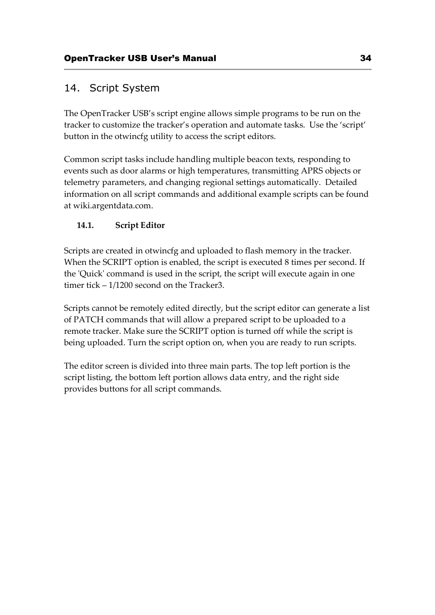# 14. Script System

The OpenTracker USB's script engine allows simple programs to be run on the tracker to customize the tracker's operation and automate tasks. Use the 'script' button in the otwincfg utility to access the script editors.

Common script tasks include handling multiple beacon texts, responding to events such as door alarms or high temperatures, transmitting APRS objects or telemetry parameters, and changing regional settings automatically. Detailed information on all script commands and additional example scripts can be found at wiki.argentdata.com.

# **14.1. Script Editor**

Scripts are created in otwincfg and uploaded to flash memory in the tracker. When the SCRIPT option is enabled, the script is executed 8 times per second. If the 'Quick' command is used in the script, the script will execute again in one timer tick – 1/1200 second on the Tracker3.

Scripts cannot be remotely edited directly, but the script editor can generate a list of PATCH commands that will allow a prepared script to be uploaded to a remote tracker. Make sure the SCRIPT option is turned off while the script is being uploaded. Turn the script option on, when you are ready to run scripts.

The editor screen is divided into three main parts. The top left portion is the script listing, the bottom left portion allows data entry, and the right side provides buttons for all script commands.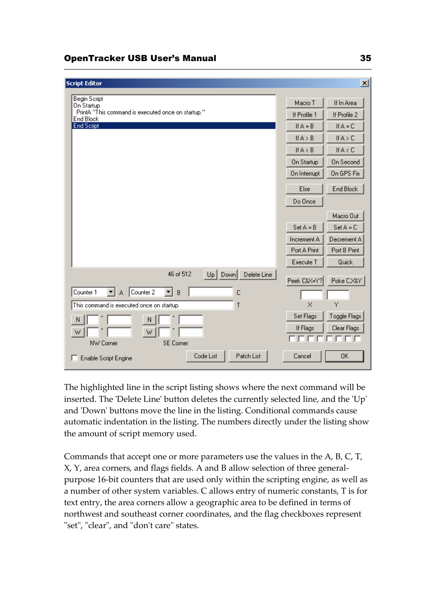# OpenTracker USB User's Manual 35

| <b>Script Editor</b>                                            |              | $\vert x \vert$     |
|-----------------------------------------------------------------|--------------|---------------------|
|                                                                 |              |                     |
| Begin Script<br>On Startup                                      | Macro T      | If In Area          |
| PrintA "This command is executed once on startup."<br>End Block | If Profile 1 | If Profile 2        |
| <b>End Script</b>                                               | If $A = B$   | If $A = C$          |
|                                                                 | If $A > B$   | If $A > C$          |
|                                                                 | If A < B     | IfA <c< td=""></c<> |
|                                                                 | On Startup   | <b>On Second</b>    |
|                                                                 | On Interrupt | On GPS Fix          |
|                                                                 | Else         | End Block           |
|                                                                 | Do Once      |                     |
|                                                                 |              | Macro Out           |
|                                                                 | $Set A = B$  | $Set A = C$         |
|                                                                 | Increment A  | Decrement A         |
|                                                                 | Port A Print | Port B Print        |
|                                                                 | Execute T    | Quick               |
| 46 of 512<br>Delete Line<br>Up   Down                           | Peek C&X=Y?  | Poke CX&Y           |
| Counter 1<br>Counter 2<br>B<br>c<br>▾╎<br>A<br>▼∣               |              |                     |
| This command is executed once on startup.<br>T                  | $\times$     | Ÿ                   |
| N<br>N                                                          | Set Flags    | Toggle Flags        |
| W                                                               | If Flags     | Clear Flags         |
| SE Corner<br>NW Corner                                          |              |                     |
| Code List<br>Patch List<br>Enable Script Engine                 | Cancel       | 0K                  |

The highlighted line in the script listing shows where the next command will be inserted. The 'Delete Line' button deletes the currently selected line, and the 'Up' and 'Down' buttons move the line in the listing. Conditional commands cause automatic indentation in the listing. The numbers directly under the listing show the amount of script memory used.

Commands that accept one or more parameters use the values in the A, B, C, T, X, Y, area corners, and flags fields. A and B allow selection of three generalpurpose 16-bit counters that are used only within the scripting engine, as well as a number of other system variables. C allows entry of numeric constants, T is for text entry, the area corners allow a geographic area to be defined in terms of northwest and southeast corner coordinates, and the flag checkboxes represent "set", "clear", and "don't care" states.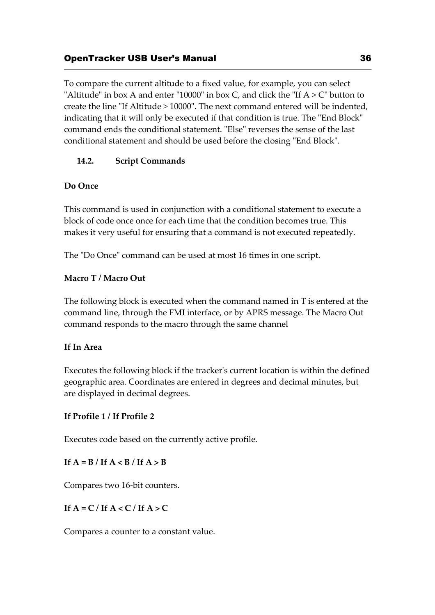To compare the current altitude to a fixed value, for example, you can select "Altitude" in box A and enter "10000" in box C, and click the "If  $A > C$ " button to create the line "If Altitude > 10000". The next command entered will be indented, indicating that it will only be executed if that condition is true. The "End Block" command ends the conditional statement. "Else" reverses the sense of the last conditional statement and should be used before the closing "End Block".

# **14.2. Script Commands**

# **Do Once**

This command is used in conjunction with a conditional statement to execute a block of code once once for each time that the condition becomes true. This makes it very useful for ensuring that a command is not executed repeatedly.

The "Do Once" command can be used at most 16 times in one script.

# **Macro T / Macro Out**

The following block is executed when the command named in T is entered at the command line, through the FMI interface, or by APRS message. The Macro Out command responds to the macro through the same channel

# **If In Area**

Executes the following block if the tracker's current location is within the defined geographic area. Coordinates are entered in degrees and decimal minutes, but are displayed in decimal degrees.

# **If Profile 1 / If Profile 2**

Executes code based on the currently active profile.

# If  $A = B / If A < B / If A > B$

Compares two 16-bit counters.

# If  $A = C /$  If  $A < C /$  If  $A > C$

Compares a counter to a constant value.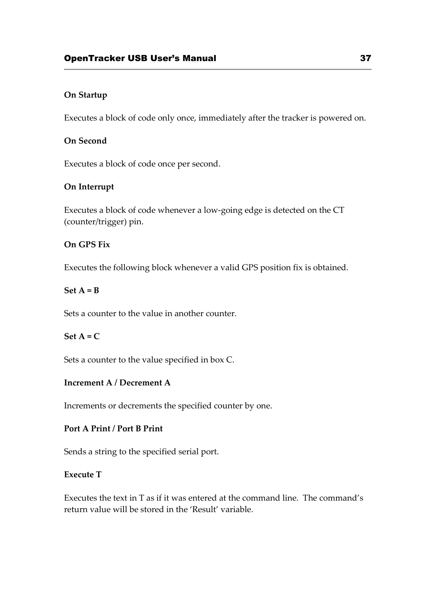# **On Startup**

Executes a block of code only once, immediately after the tracker is powered on.

# **On Second**

Executes a block of code once per second.

# **On Interrupt**

Executes a block of code whenever a low-going edge is detected on the CT (counter/trigger) pin.

#### **On GPS Fix**

Executes the following block whenever a valid GPS position fix is obtained.

#### **Set A = B**

Sets a counter to the value in another counter.

### $Set A = C$

Sets a counter to the value specified in box C.

# **Increment A / Decrement A**

Increments or decrements the specified counter by one.

# **Port A Print / Port B Print**

Sends a string to the specified serial port.

#### **Execute T**

Executes the text in T as if it was entered at the command line. The command's return value will be stored in the 'Result' variable.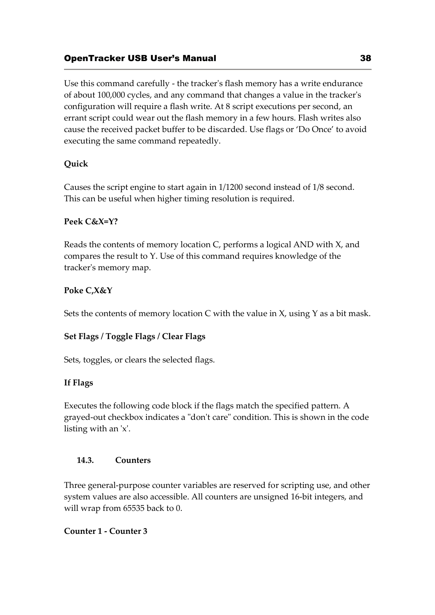Use this command carefully - the tracker's flash memory has a write endurance of about 100,000 cycles, and any command that changes a value in the tracker's configuration will require a flash write. At 8 script executions per second, an errant script could wear out the flash memory in a few hours. Flash writes also cause the received packet buffer to be discarded. Use flags or 'Do Once' to avoid executing the same command repeatedly.

# **Quick**

Causes the script engine to start again in 1/1200 second instead of 1/8 second. This can be useful when higher timing resolution is required.

# **Peek C&X=Y?**

Reads the contents of memory location C, performs a logical AND with X, and compares the result to Y. Use of this command requires knowledge of the tracker's memory map.

# **Poke C,X&Y**

Sets the contents of memory location  $C$  with the value in  $X$ , using  $Y$  as a bit mask.

# **Set Flags / Toggle Flags / Clear Flags**

Sets, toggles, or clears the selected flags.

# **If Flags**

Executes the following code block if the flags match the specified pattern. A grayed-out checkbox indicates a "don't care" condition. This is shown in the code listing with an 'x'.

# **14.3. Counters**

Three general-purpose counter variables are reserved for scripting use, and other system values are also accessible. All counters are unsigned 16-bit integers, and will wrap from 65535 back to 0.

# **Counter 1 - Counter 3**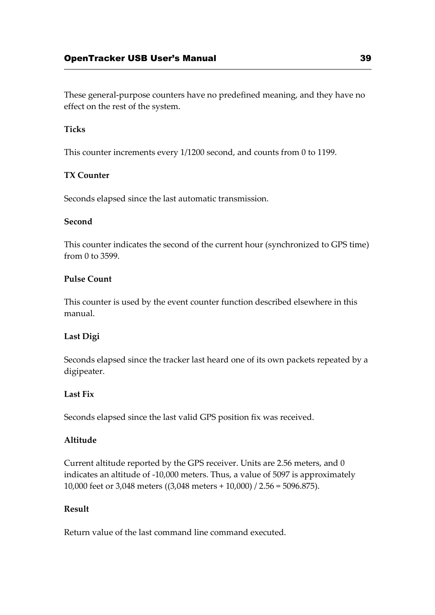These general-purpose counters have no predefined meaning, and they have no effect on the rest of the system.

# **Ticks**

This counter increments every 1/1200 second, and counts from 0 to 1199.

# **TX Counter**

Seconds elapsed since the last automatic transmission.

# **Second**

This counter indicates the second of the current hour (synchronized to GPS time) from 0 to 3599.

# **Pulse Count**

This counter is used by the event counter function described elsewhere in this manual.

# **Last Digi**

Seconds elapsed since the tracker last heard one of its own packets repeated by a digipeater.

### **Last Fix**

Seconds elapsed since the last valid GPS position fix was received.

### **Altitude**

Current altitude reported by the GPS receiver. Units are 2.56 meters, and 0 indicates an altitude of -10,000 meters. Thus, a value of 5097 is approximately 10,000 feet or 3,048 meters ((3,048 meters + 10,000) / 2.56 = 5096.875).

# **Result**

Return value of the last command line command executed.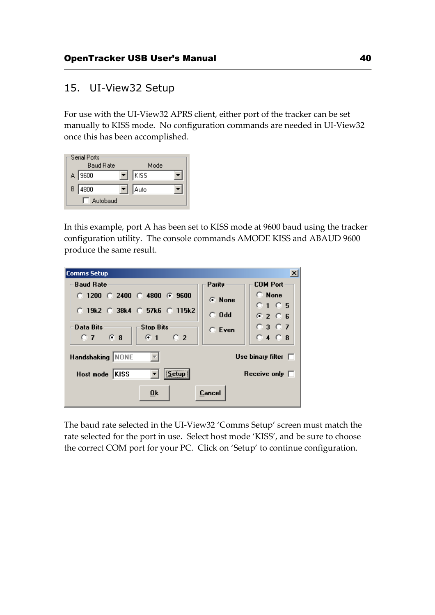# 15. UI-View32 Setup

For use with the UI-View32 APRS client, either port of the tracker can be set manually to KISS mode. No configuration commands are needed in UI-View32 once this has been accomplished.

| Serial Ports:<br><b>Baud Rate</b> | Mode     |  |
|-----------------------------------|----------|--|
| A 3600                            | $ K $ SS |  |
| B   4800                          | Auto     |  |
| Autobaud                          |          |  |

In this example, port A has been set to KISS mode at 9600 baud using the tracker configuration utility. The console commands AMODE KISS and ABAUD 9600 produce the same result.

| Comms Setup                                                 |               | $\boldsymbol{\mathsf{x}}$ |
|-------------------------------------------------------------|---------------|---------------------------|
| <b>Baud Rate</b>                                            | Parity        | <b>COM Port</b>           |
| $\degree$ 1200 $\degree$ 2400 $\degree$ 4800 $\degree$ 9600 | G None        | $\subset$ None            |
| $\circ$ 19k2 $\circ$ 38k4 $\circ$ 57k6 $\circ$ 115k2        |               | $0.1 \oplus 5$            |
|                                                             | $\degree$ 0dd | G2G5                      |
| Data Bits<br><b>Stop Bits</b>                               | $C$ Even      | $0.3$ $0.7$               |
| $0.7$ $6.8$<br>C <sub>2</sub><br>61                         |               | $0.4$ $0.8$               |
| Handshaking NONE                                            |               | Use binary filter $\Box$  |
| Setup<br> KISS<br>Host mode                                 |               | Receive only $\Box$       |
| 0 <sup>k</sup>                                              | Cancel        |                           |

The baud rate selected in the UI-View32 'Comms Setup' screen must match the rate selected for the port in use. Select host mode 'KISS', and be sure to choose the correct COM port for your PC. Click on 'Setup' to continue configuration.